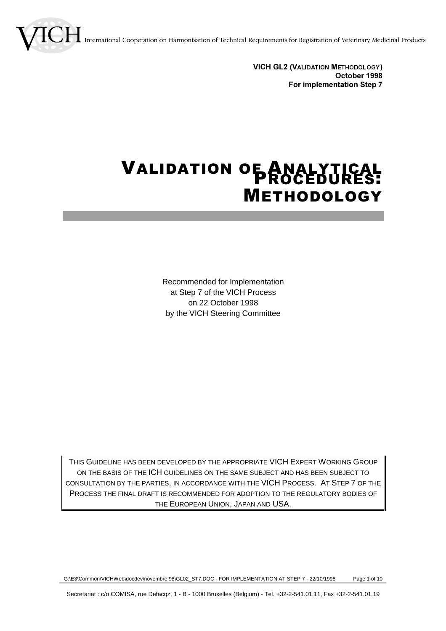International Cooperation on Harmonisation of Technical Requirements for Registration of Veterinary Medicinal Products

**VICH GL2 (VALIDATION METHODOLOGY)** October 1998 For implementation Step 7

# **VALIDATION OF ANALYTICAL**<br>**PROCEDURES: METHODOLOGY**

Recommended for Implementation at Step 7 of the VICH Process on 22 October 1998 by the VICH Steering Committee

THIS GUIDELINE HAS BEEN DEVELOPED BY THE APPROPRIATE VICH EXPERT WORKING GROUP ON THE BASIS OF THE ICH GUIDELINES ON THE SAME SUBJECT AND HAS BEEN SUBJECT TO CONSULTATION BY THE PARTIES, IN ACCORDANCE WITH THE VICH PROCESS. AT STEP 7 OF THE PROCESS THE FINAL DRAFT IS RECOMMENDED FOR ADOPTION TO THE REGULATORY BODIES OF THE EUROPEAN UNION, JAPAN AND USA.

G:\E3\Common\VICHWeb\docdev\novembre 98\GL02\_ST7.DOC - FOR IMPLEMENTATION AT STEP 7 - 22/10/1998 Page 1 of 10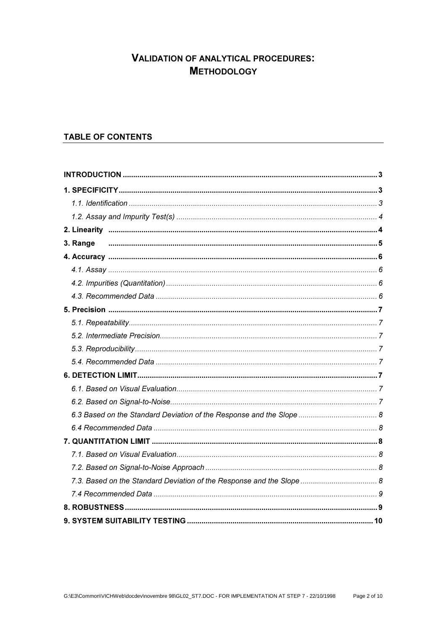# VALIDATION OF ANALYTICAL PROCEDURES: **METHODOLOGY**

# **TABLE OF CONTENTS**

| 3. Range |  |
|----------|--|
|          |  |
|          |  |
|          |  |
|          |  |
|          |  |
|          |  |
|          |  |
|          |  |
|          |  |
|          |  |
|          |  |
|          |  |
|          |  |
|          |  |
|          |  |
|          |  |
|          |  |
|          |  |
|          |  |
|          |  |
|          |  |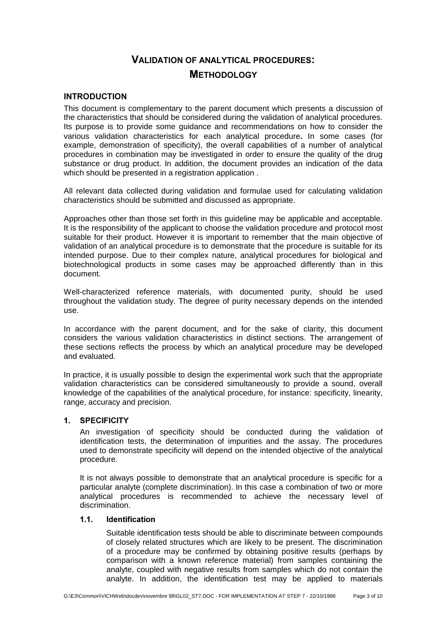# **VALIDATION OF ANALYTICAL PROCEDURES:** METHODOLOGY

# **INTRODUCTION**

This document is complementary to the parent document which presents a discussion of the characteristics that should be considered during the validation of analytical procedures. Its purpose is to provide some guidance and recommendations on how to consider the various validation characteristics for each analytical procedure In some cases (for example, demonstration of specificity), the overall capabilities of a number of analytical procedures in combination may be investigated in order to ensure the quality of the drug substance or drug product. In addition, the document provides an indication of the data which should be presented in a registration application .

All relevant data collected during validation and formulae used for calculating validation characteristics should be submitted and discussed as appropriate.

Approaches other than those set forth in this guideline may be applicable and acceptable. It is the responsibility of the applicant to choose the validation procedure and protocol most suitable for their product. However it is important to remember that the main objective of validation of an analytical procedure is to demonstrate that the procedure is suitable for its intended purpose. Due to their complex nature, analytical procedures for biological and biotechnological products in some cases may be approached differently than in this document.

Well-characterized reference materials, with documented purity, should be used throughout the validation study. The degree of purity necessary depends on the intended use.

In accordance with the parent document, and for the sake of clarity, this document considers the various validation characteristics in distinct sections. The arrangement of these sections reflects the process by which an analytical procedure may be developed and evaluated.

In practice, it is usually possible to design the experimental work such that the appropriate validation characteristics can be considered simultaneously to provide a sound, overall knowledge of the capabilities of the analytical procedure, for instance: specificity, linearity, range, accuracy and precision.

#### 1. SPECIFICITY

An investigation of specificity should be conducted during the validation of identification tests, the determination of impurities and the assay. The procedures used to demonstrate specificity will depend on the intended objective of the analytical procedure.

It is not always possible to demonstrate that an analytical procedure is specific for a particular analyte (complete discrimination). In this case a combination of two or more analytical procedures is recommended to achieve the necessary level of discrimination.

#### 1.1. Identification

Suitable identification tests should be able to discriminate between compounds of closely related structures which are likely to be present. The discrimination of a procedure may be confirmed by obtaining positive results (perhaps by comparison with a known reference material) from samples containing the analyte, coupled with negative results from samples which do not contain the analyte. In addition, the identification test may be applied to materials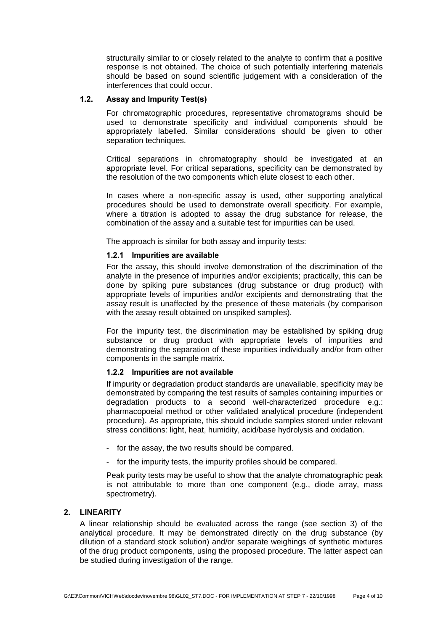structurally similar to or closely related to the analyte to confirm that a positive response is not obtained. The choice of such potentially interfering materials should be based on sound scientific judgement with a consideration of the interferences that could occur.

#### 1.2. Assay and Impurity Test(s)

For chromatographic procedures, representative chromatograms should be used to demonstrate specificity and individual components should be appropriately labelled. Similar considerations should be given to other separation techniques.

Critical separations in chromatography should be investigated at an appropriate level. For critical separations, specificity can be demonstrated by the resolution of the two components which elute closest to each other.

In cases where a non-specific assay is used, other supporting analytical procedures should be used to demonstrate overall specificity. For example, where a titration is adopted to assay the drug substance for release, the combination of the assay and a suitable test for impurities can be used.

The approach is similar for both assay and impurity tests:

## 1.2.1 Impurities are available

For the assay, this should involve demonstration of the discrimination of the analyte in the presence of impurities and/or excipients; practically, this can be done by spiking pure substances (drug substance or drug product) with appropriate levels of impurities and/or excipients and demonstrating that the assay result is unaffected by the presence of these materials (by comparison with the assay result obtained on unspiked samples).

For the impurity test, the discrimination may be established by spiking drug substance or drug product with appropriate levels of impurities and demonstrating the separation of these impurities individually and/or from other components in the sample matrix.

#### 1.2.2 Impurities are not available

If impurity or degradation product standards are unavailable, specificity may be demonstrated by comparing the test results of samples containing impurities or degradation products to a second well-characterized procedure e.g.: pharmacopoeial method or other validated analytical procedure (independent procedure). As appropriate, this should include samples stored under relevant stress conditions: light, heat, humidity, acid/base hydrolysis and oxidation.

- for the assay, the two results should be compared.
- for the impurity tests, the impurity profiles should be compared.

Peak purity tests may be useful to show that the analyte chromatographic peak is not attributable to more than one component (e.g., diode array, mass spectrometry).

# 2. LINEARITY

A linear relationship should be evaluated across the range (see section 3) of the analytical procedure. It may be demonstrated directly on the drug substance (by dilution of a standard stock solution) and/or separate weighings of synthetic mixtures of the drug product components, using the proposed procedure. The latter aspect can be studied during investigation of the range.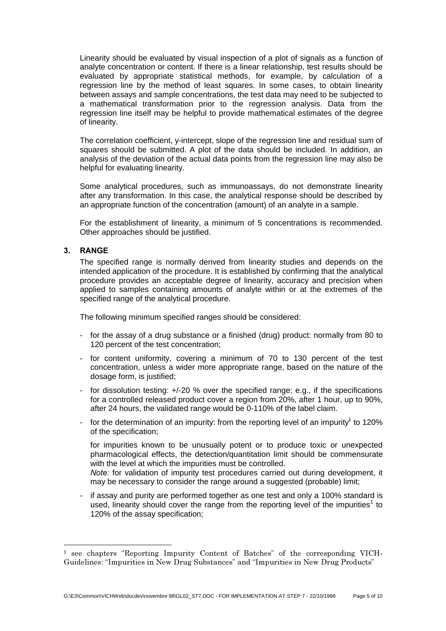Linearity should be evaluated by visual inspection of a plot of signals as a function of analyte concentration or content. If there is a linear relationship, test results should be evaluated by appropriate statistical methods, for example, by calculation of a regression line by the method of least squares. In some cases, to obtain linearity between assays and sample concentrations, the test data may need to be subjected to a mathematical transformation prior to the regression analysis. Data from the regression line itself may be helpful to provide mathematical estimates of the degree of linearity.

The correlation coefficient, y-intercept, slope of the regression line and residual sum of squares should be submitted. A plot of the data should be included. In addition, an analysis of the deviation of the actual data points from the regression line may also be helpful for evaluating linearity.

Some analytical procedures, such as immunoassays, do not demonstrate linearity after any transformation. In this case, the analytical response should be described by an appropriate function of the concentration (amount) of an analyte in a sample.

For the establishment of linearity, a minimum of 5 concentrations is recommended. Other approaches should be justified.

#### 3. RANGE

 $\overline{a}$ 

The specified range is normally derived from linearity studies and depends on the intended application of the procedure. It is established by confirming that the analytical procedure provides an acceptable degree of linearity, accuracy and precision when applied to samples containing amounts of analyte within or at the extremes of the specified range of the analytical procedure.

The following minimum specified ranges should be considered:

- for the assay of a drug substance or a finished (drug) product: normally from 80 to 120 percent of the test concentration;
- for content uniformity, covering a minimum of 70 to 130 percent of the test concentration, unless a wider more appropriate range, based on the nature of the dosage form, is justified;
- for dissolution testing: +/-20 % over the specified range; e.g., if the specifications for a controlled released product cover a region from 20%, after 1 hour, up to 90%, after 24 hours, the validated range would be 0-110% of the label claim.
- for the determination of an impurity: from the reporting level of an impurity<sup>1</sup> to 120% of the specification;

 for impurities known to be unusually potent or to produce toxic or unexpected pharmacological effects, the detection/quantitation limit should be commensurate with the level at which the impurities must be controlled.

*Note:* for validation of impurity test procedures carried out during development, it may be necessary to consider the range around a suggested (probable) limit;

if assay and purity are performed together as one test and only a 100% standard is used, linearity should cover the range from the reporting level of the impurities<sup>1</sup> to 120% of the assay specification;

<sup>&</sup>lt;sup>1</sup> see chapters "Reporting Impurity Content of Batches" of the corresponding VICH-Guidelines: "Impurities in New Drug Substances" and "Impurities in New Drug Products"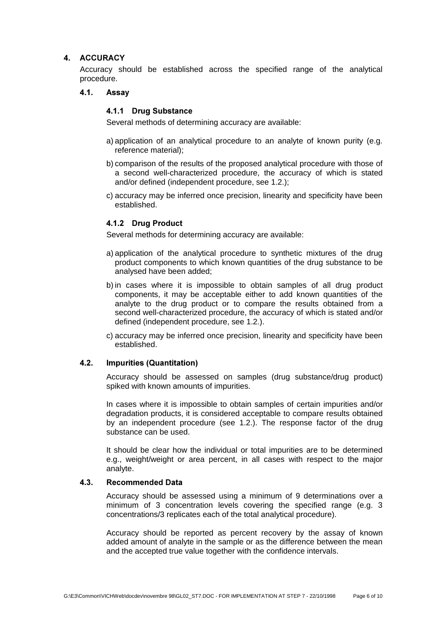#### 4 ACCURACY

Accuracy should be established across the specified range of the analytical procedure.

#### 4.1. Assav

#### 4.1.1 Drug Substance

Several methods of determining accuracy are available:

- a) application of an analytical procedure to an analyte of known purity (e.g. reference material);
- b) comparison of the results of the proposed analytical procedure with those of a second well-characterized procedure, the accuracy of which is stated and/or defined (independent procedure, see 1.2.);
- c) accuracy may be inferred once precision, linearity and specificity have been established.

#### 4.1.2 Drug Product

Several methods for determining accuracy are available:

- a) application of the analytical procedure to synthetic mixtures of the drug product components to which known quantities of the drug substance to be analysed have been added;
- b) in cases where it is impossible to obtain samples of all drug product components, it may be acceptable either to add known quantities of the analyte to the drug product or to compare the results obtained from a second well-characterized procedure, the accuracy of which is stated and/or defined (independent procedure, see 1.2.).
- c) accuracy may be inferred once precision, linearity and specificity have been established.

#### 4.2. Impurities (Quantitation)

Accuracy should be assessed on samples (drug substance/drug product) spiked with known amounts of impurities.

In cases where it is impossible to obtain samples of certain impurities and/or degradation products, it is considered acceptable to compare results obtained by an independent procedure (see 1.2.). The response factor of the drug substance can be used.

It should be clear how the individual or total impurities are to be determined e.g., weight/weight or area percent, in all cases with respect to the major analyte.

#### 4.3. Recommended Data

Accuracy should be assessed using a minimum of 9 determinations over a minimum of 3 concentration levels covering the specified range (e.g. 3 concentrations/3 replicates each of the total analytical procedure).

Accuracy should be reported as percent recovery by the assay of known added amount of analyte in the sample or as the difference between the mean and the accepted true value together with the confidence intervals.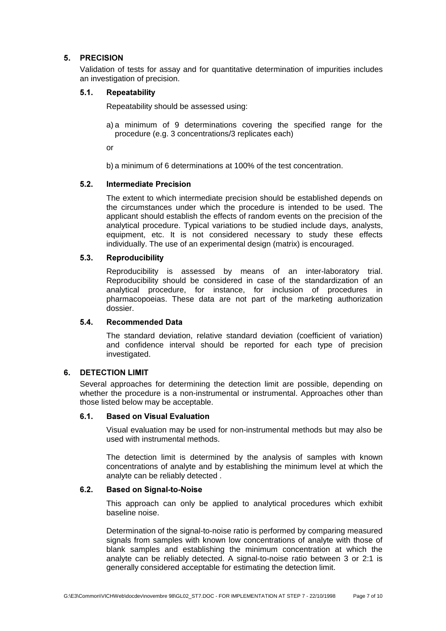## 5. PRECISION

Validation of tests for assay and for quantitative determination of impurities includes an investigation of precision.

#### 5.1. Repeatability

Repeatability should be assessed using:

a) a minimum of 9 determinations covering the specified range for the procedure (e.g. 3 concentrations/3 replicates each)

or

b) a minimum of 6 determinations at 100% of the test concentration.

## 5.2. Intermediate Precision

The extent to which intermediate precision should be established depends on the circumstances under which the procedure is intended to be used. The applicant should establish the effects of random events on the precision of the analytical procedure. Typical variations to be studied include days, analysts, equipment, etc. It is not considered necessary to study these effects individually. The use of an experimental design (matrix) is encouraged.

#### 5.3. Reproducibility

Reproducibility is assessed by means of an inter-laboratory trial. Reproducibility should be considered in case of the standardization of an analytical procedure, for instance, for inclusion of procedures in pharmacopoeias. These data are not part of the marketing authorization dossier.

#### 5.4. Recommended Data

The standard deviation, relative standard deviation (coefficient of variation) and confidence interval should be reported for each type of precision investigated.

#### 6. DETECTION LIMIT

Several approaches for determining the detection limit are possible, depending on whether the procedure is a non-instrumental or instrumental. Approaches other than those listed below may be acceptable.

#### 6.1. Based on Visual Evaluation

Visual evaluation may be used for non-instrumental methods but may also be used with instrumental methods.

The detection limit is determined by the analysis of samples with known concentrations of analyte and by establishing the minimum level at which the analyte can be reliably detected .

#### 6.2. Based on Signal-to-Noise

This approach can only be applied to analytical procedures which exhibit baseline noise.

Determination of the signal-to-noise ratio is performed by comparing measured signals from samples with known low concentrations of analyte with those of blank samples and establishing the minimum concentration at which the analyte can be reliably detected. A signal-to-noise ratio between 3 or 2:1 is generally considered acceptable for estimating the detection limit.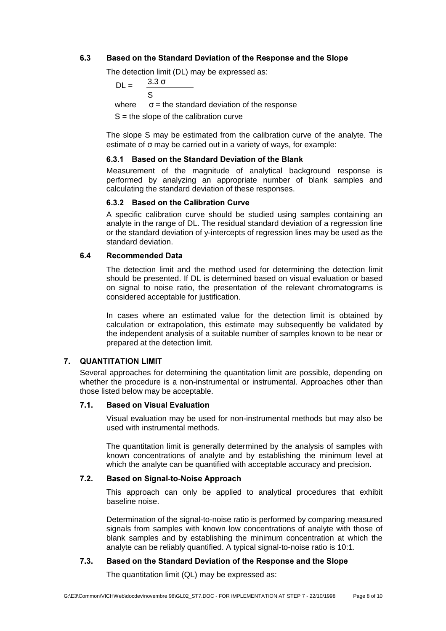## 6.3 Based on the Standard Deviation of the Response and the Slope

The detection limit (DL) may be expressed as:

$$
DL = \frac{3.3 \text{ }\sigma}{S}
$$

where  $\sigma$  = the standard deviation of the response

 $S =$  the slope of the calibration curve

The slope S may be estimated from the calibration curve of the analyte. The estimate of σ may be carried out in a variety of ways, for example:

#### 6.3.1 Based on the Standard Deviation of the Blank

Measurement of the magnitude of analytical background response is performed by analyzing an appropriate number of blank samples and calculating the standard deviation of these responses.

#### 6.3.2 Based on the Calibration Curve

A specific calibration curve should be studied using samples containing an analyte in the range of DL. The residual standard deviation of a regression line or the standard deviation of y-intercepts of regression lines may be used as the standard deviation.

#### 6.4 Recommended Data

The detection limit and the method used for determining the detection limit should be presented. If DL is determined based on visual evaluation or based on signal to noise ratio, the presentation of the relevant chromatograms is considered acceptable for justification.

In cases where an estimated value for the detection limit is obtained by calculation or extrapolation, this estimate may subsequently be validated by the independent analysis of a suitable number of samples known to be near or prepared at the detection limit.

# 7. QUANTITATION LIMIT

Several approaches for determining the quantitation limit are possible, depending on whether the procedure is a non-instrumental or instrumental. Approaches other than those listed below may be acceptable.

#### 7.1. Based on Visual Evaluation

Visual evaluation may be used for non-instrumental methods but may also be used with instrumental methods.

The quantitation limit is generally determined by the analysis of samples with known concentrations of analyte and by establishing the minimum level at which the analyte can be quantified with acceptable accuracy and precision.

#### 7.2. Based on Signal-to-Noise Approach

This approach can only be applied to analytical procedures that exhibit baseline noise.

Determination of the signal-to-noise ratio is performed by comparing measured signals from samples with known low concentrations of analyte with those of blank samples and by establishing the minimum concentration at which the analyte can be reliably quantified. A typical signal-to-noise ratio is 10:1.

## 7.3. Based on the Standard Deviation of the Response and the Slope

The quantitation limit (QL) may be expressed as: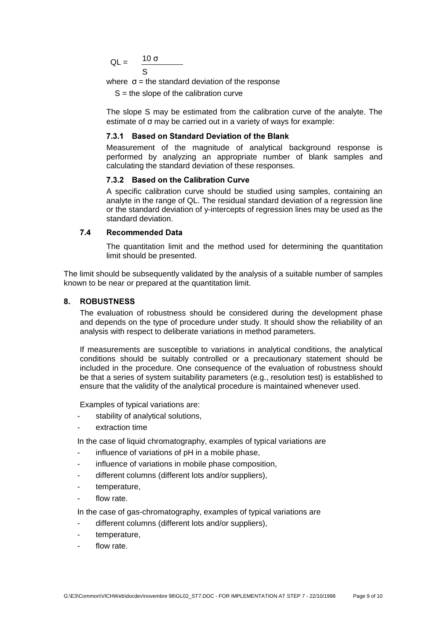$QL = \frac{10 \sigma}{ }$ S

where  $\sigma$  = the standard deviation of the response

 $S =$  the slope of the calibration curve

The slope S may be estimated from the calibration curve of the analyte. The estimate of σ may be carried out in a variety of ways for example:

#### 7.3.1 Based on Standard Deviation of the Blank

Measurement of the magnitude of analytical background response is performed by analyzing an appropriate number of blank samples and calculating the standard deviation of these responses.

#### 7.3.2 Based on the Calibration Curve

A specific calibration curve should be studied using samples, containing an analyte in the range of QL. The residual standard deviation of a regression line or the standard deviation of y-intercepts of regression lines may be used as the standard deviation.

#### 7.4 Recommended Data

The quantitation limit and the method used for determining the quantitation limit should be presented.

The limit should be subsequently validated by the analysis of a suitable number of samples known to be near or prepared at the quantitation limit.

#### 8. ROBUSTNESS

The evaluation of robustness should be considered during the development phase and depends on the type of procedure under study. It should show the reliability of an analysis with respect to deliberate variations in method parameters.

If measurements are susceptible to variations in analytical conditions, the analytical conditions should be suitably controlled or a precautionary statement should be included in the procedure. One consequence of the evaluation of robustness should be that a series of system suitability parameters (e.g., resolution test) is established to ensure that the validity of the analytical procedure is maintained whenever used.

Examples of typical variations are:

- stability of analytical solutions.
- extraction time

In the case of liquid chromatography, examples of typical variations are

- influence of variations of pH in a mobile phase,
- influence of variations in mobile phase composition,
- different columns (different lots and/or suppliers),
- temperature,
- flow rate.

In the case of gas-chromatography, examples of typical variations are

- different columns (different lots and/or suppliers),
- temperature,
- flow rate.